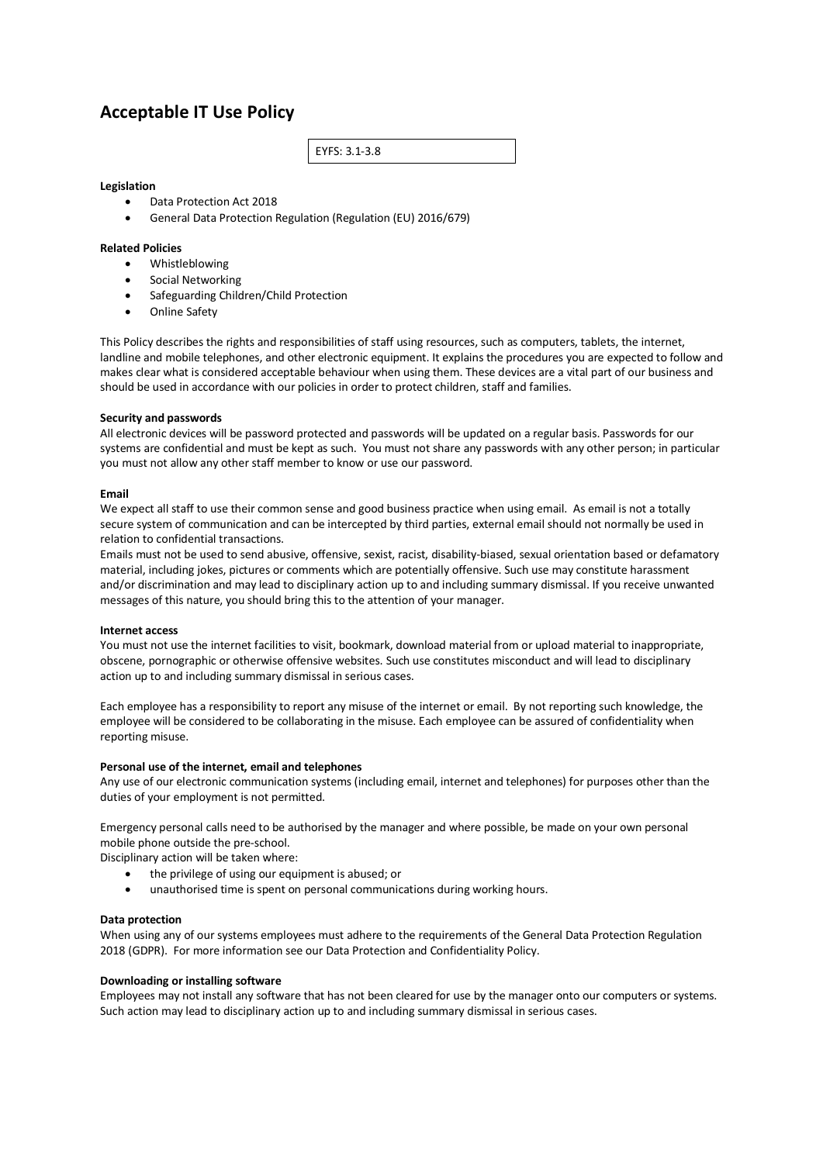# **Acceptable IT Use Policy**

EYFS: 3.1-3.8

# **Legislation**

- Data Protection Act 2018
- General Data Protection Regulation (Regulation (EU) 2016/679)

# **Related Policies**

- Whistleblowing
- Social Networking
- Safeguarding Children/Child Protection
- Online Safety

This Policy describes the rights and responsibilities of staff using resources, such as computers, tablets, the internet, landline and mobile telephones, and other electronic equipment. It explains the procedures you are expected to follow and makes clear what is considered acceptable behaviour when using them. These devices are a vital part of our business and should be used in accordance with our policies in order to protect children, staff and families.

#### **Security and passwords**

All electronic devices will be password protected and passwords will be updated on a regular basis. Passwords for our systems are confidential and must be kept as such. You must not share any passwords with any other person; in particular you must not allow any other staff member to know or use our password.

### **Email**

We expect all staff to use their common sense and good business practice when using email. As email is not a totally secure system of communication and can be intercepted by third parties, external email should not normally be used in relation to confidential transactions.

Emails must not be used to send abusive, offensive, sexist, racist, disability-biased, sexual orientation based or defamatory material, including jokes, pictures or comments which are potentially offensive. Such use may constitute harassment and/or discrimination and may lead to disciplinary action up to and including summary dismissal. If you receive unwanted messages of this nature, you should bring this to the attention of your manager.

#### **Internet access**

You must not use the internet facilities to visit, bookmark, download material from or upload material to inappropriate, obscene, pornographic or otherwise offensive websites. Such use constitutes misconduct and will lead to disciplinary action up to and including summary dismissal in serious cases.

Each employee has a responsibility to report any misuse of the internet or email. By not reporting such knowledge, the employee will be considered to be collaborating in the misuse. Each employee can be assured of confidentiality when reporting misuse.

#### **Personal use of the internet, email and telephones**

Any use of our electronic communication systems (including email, internet and telephones) for purposes other than the duties of your employment is not permitted.

Emergency personal calls need to be authorised by the manager and where possible, be made on your own personal mobile phone outside the pre-school.

Disciplinary action will be taken where:

- the privilege of using our equipment is abused; or
- unauthorised time is spent on personal communications during working hours.

#### **Data protection**

When using any of our systems employees must adhere to the requirements of the General Data Protection Regulation 2018 (GDPR). For more information see our Data Protection and Confidentiality Policy.

#### **Downloading or installing software**

Employees may not install any software that has not been cleared for use by the manager onto our computers or systems. Such action may lead to disciplinary action up to and including summary dismissal in serious cases.